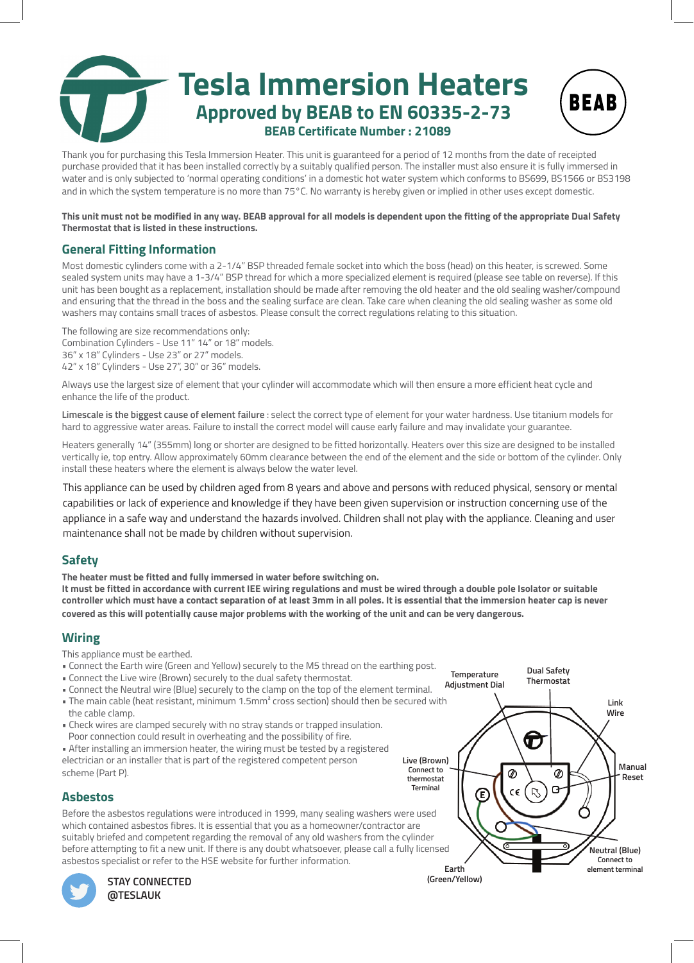

**BEAB** 

Thank you for purchasing this Tesla Immersion Heater. This unit is guaranteed for a period of 12 months from the date of receipted purchase provided that it has been installed correctly by a suitably qualified person. The installer must also ensure it is fully immersed in water and is only subjected to 'normal operating conditions' in a domestic hot water system which conforms to BS699, BS1566 or BS3198 and in which the system temperature is no more than 75°C. No warranty is hereby given or implied in other uses except domestic.

**This unit must not be modified in any way. BEAB approval for all models is dependent upon the fitting of the appropriate Dual Safety Thermostat that is listed in these instructions.**

# **General Fitting Information**

Most domestic cylinders come with a 2-1/4" BSP threaded female socket into which the boss (head) on this heater, is screwed. Some sealed system units may have a 1-3/4" BSP thread for which a more specialized element is required (please see table on reverse). If this unit has been bought as a replacement, installation should be made after removing the old heater and the old sealing washer/compound and ensuring that the thread in the boss and the sealing surface are clean. Take care when cleaning the old sealing washer as some old washers may contains small traces of asbestos. Please consult the correct regulations relating to this situation.

The following are size recommendations only: Combination Cylinders - Use 11" 14" or 18" models. 36" x 18" Cylinders - Use 23" or 27" models. 42" x 18" Cylinders - Use 27", 30" or 36" models.

Always use the largest size of element that your cylinder will accommodate which will then ensure a more efficient heat cycle and enhance the life of the product.

**Limescale is the biggest cause of element failure** : select the correct type of element for your water hardness. Use titanium models for hard to aggressive water areas. Failure to install the correct model will cause early failure and may invalidate your guarantee.

Heaters generally 14" (355mm) long or shorter are designed to be fitted horizontally. Heaters over this size are designed to be installed vertically ie, top entry. Allow approximately 60mm clearance between the end of the element and the side or bottom of the cylinder. Only install these heaters where the element is always below the water level.

This appliance can be used by children aged from 8 years and above and persons with reduced physical, sensory or mental capabilities or lack of experience and knowledge if they have been given supervision or instruction concerning use of the appliance in a safe way and understand the hazards involved. Children shall not play with the appliance. Cleaning and user maintenance shall not be made by children without supervision.

# **Safety**

**The heater must be fitted and fully immersed in water before switching on.**

**It must be fitted in accordance with current IEE wiring regulations and must be wired through a double pole Isolator or suitable controller which must have a contact separation of at least 3mm in all poles. It is essential that the immersion heater cap is never covered as this will potentially cause major problems with the working of the unit and can be very dangerous.**

# **Wiring**

This appliance must be earthed.

- Connect the Earth wire (Green and Yellow) securely to the M5 thread on the earthing post.
- Connect the Live wire (Brown) securely to the dual safety thermostat.
- Connect the Neutral wire (Blue) securely to the clamp on the top of the element terminal.
- The main cable (heat resistant, minimum 1.5mm² cross section) should then be secured with the cable clamp.
- Check wires are clamped securely with no stray stands or trapped insulation. Poor connection could result in overheating and the possibility of fire.
- After installing an immersion heater, the wiring must be tested by a registered electrician or an installer that is part of the registered competent person scheme (Part P).



**Dual Safety**

# **Asbestos**

Before the asbestos regulations were introduced in 1999, many sealing washers were used which contained asbestos fibres. It is essential that you as a homeowner/contractor are suitably briefed and competent regarding the removal of any old washers from the cylinder before attempting to fit a new unit. If there is any doubt whatsoever, please call a fully licensed asbestos specialist or refer to the HSE website for further information.



**STAY CONNECTED @TESLAUK**